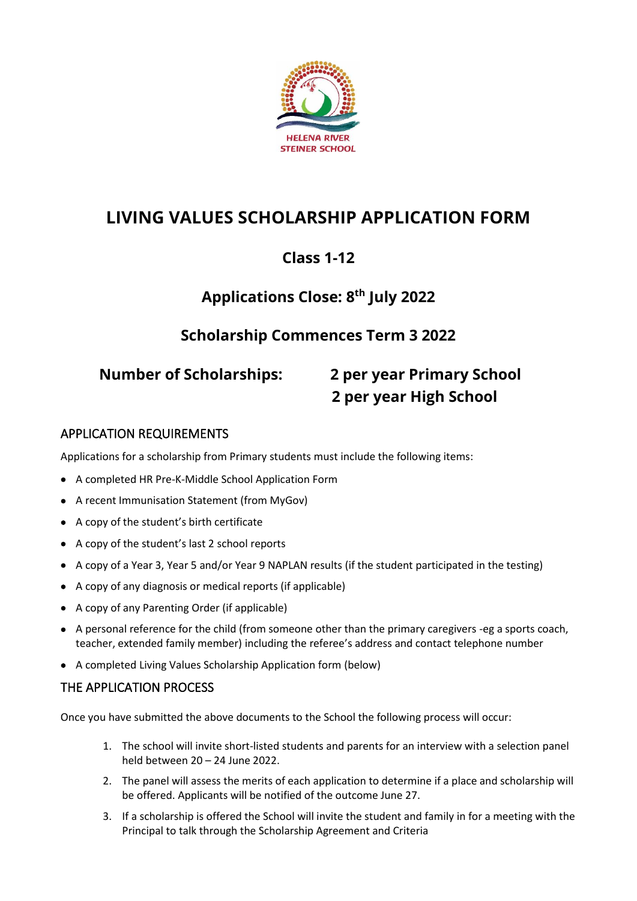

# **LIVING VALUES SCHOLARSHIP APPLICATION FORM**

# **Class 1-12**

# **Applications Close: 8 th July 2022**

## **Scholarship Commences Term 3 2022**

# **Number of Scholarships: 2 per year Primary School 2 per year High School**

#### APPLICATION REQUIREMENTS

Applications for a scholarship from Primary students must include the following items:

- A completed HR Pre-K-Middle School Application Form
- A recent Immunisation Statement (from MyGov)
- A copy of the student's birth certificate
- A copy of the student's last 2 school reports
- A copy of a Year 3, Year 5 and/or Year 9 NAPLAN results (if the student participated in the testing)
- A copy of any diagnosis or medical reports (if applicable)
- A copy of any Parenting Order (if applicable)
- A personal reference for the child (from someone other than the primary caregivers -eg a sports coach, teacher, extended family member) including the referee's address and contact telephone number
- A completed Living Values Scholarship Application form (below)

#### THE APPLICATION PROCESS

Once you have submitted the above documents to the School the following process will occur:

- 1. The school will invite short-listed students and parents for an interview with a selection panel held between 20 – 24 June 2022.
- 2. The panel will assess the merits of each application to determine if a place and scholarship will be offered. Applicants will be notified of the outcome June 27.
- 3. If a scholarship is offered the School will invite the student and family in for a meeting with the Principal to talk through the Scholarship Agreement and Criteria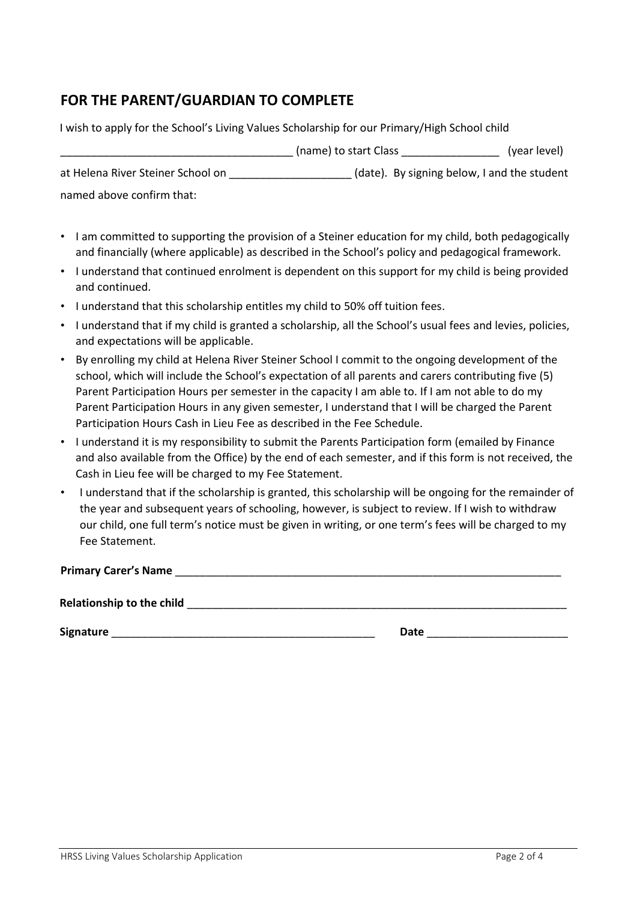### **FOR THE PARENT/GUARDIAN TO COMPLETE**

I wish to apply for the School's Living Values Scholarship for our Primary/High School child \_\_\_\_\_\_\_\_\_\_\_\_\_\_\_\_\_\_\_\_\_\_\_\_\_\_\_\_\_\_\_\_\_\_\_\_\_\_ (name) to start Class \_\_\_\_\_\_\_\_\_\_\_\_\_\_\_\_ (year level) at Helena River Steiner School on (date). By signing below, I and the student named above confirm that:

- I am committed to supporting the provision of a Steiner education for my child, both pedagogically and financially (where applicable) as described in the School's policy and pedagogical framework.
- I understand that continued enrolment is dependent on this support for my child is being provided and continued.
- I understand that this scholarship entitles my child to 50% off tuition fees.
- I understand that if my child is granted a scholarship, all the School's usual fees and levies, policies, and expectations will be applicable.
- By enrolling my child at Helena River Steiner School I commit to the ongoing development of the school, which will include the School's expectation of all parents and carers contributing five (5) Parent Participation Hours per semester in the capacity I am able to. If I am not able to do my Parent Participation Hours in any given semester, I understand that I will be charged the Parent Participation Hours Cash in Lieu Fee as described in the Fee Schedule.
- I understand it is my responsibility to submit the Parents Participation form (emailed by Finance and also available from the Office) by the end of each semester, and if this form is not received, the Cash in Lieu fee will be charged to my Fee Statement.
- I understand that if the scholarship is granted, this scholarship will be ongoing for the remainder of the year and subsequent years of schooling, however, is subject to review. If I wish to withdraw our child, one full term's notice must be given in writing, or one term's fees will be charged to my Fee Statement.

**Primary Carer's Name** \_\_\_\_\_\_\_\_\_\_\_\_\_\_\_\_\_\_\_\_\_\_\_\_\_\_\_\_\_\_\_\_\_\_\_\_\_\_\_\_\_\_\_\_\_\_\_\_\_\_\_\_\_\_\_\_\_\_\_\_\_\_\_

**Relationship to the child**  <u>and the child</u> **and the child of the child of the child of the child of the child of the child of the child of the child of the child of the child of the child of the child of the child of the** 

**Signature** \_\_\_\_\_\_\_\_\_\_\_\_\_\_\_\_\_\_\_\_\_\_\_\_\_\_\_\_\_\_\_\_\_\_\_\_\_\_\_\_\_\_\_ **Date** \_\_\_\_\_\_\_\_\_\_\_\_\_\_\_\_\_\_\_\_\_\_\_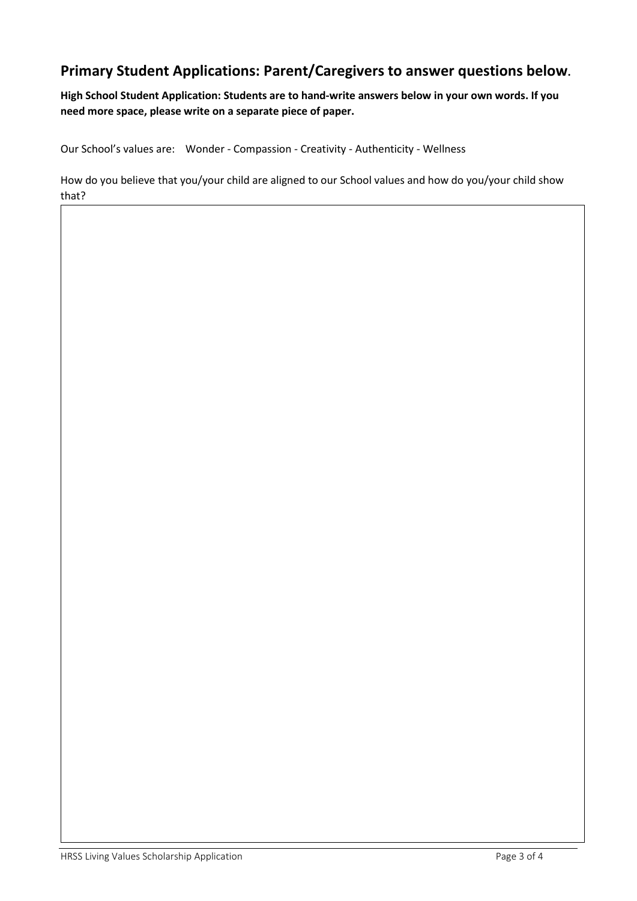### **Primary Student Applications: Parent/Caregivers to answer questions below.**

**High School Student Application: Students are to hand-write answers below in your own words. If you need more space, please write on a separate piece of paper.**

Our School's values are: Wonder - Compassion - Creativity - Authenticity - Wellness

How do you believe that you/your child are aligned to our School values and how do you/your child show that?